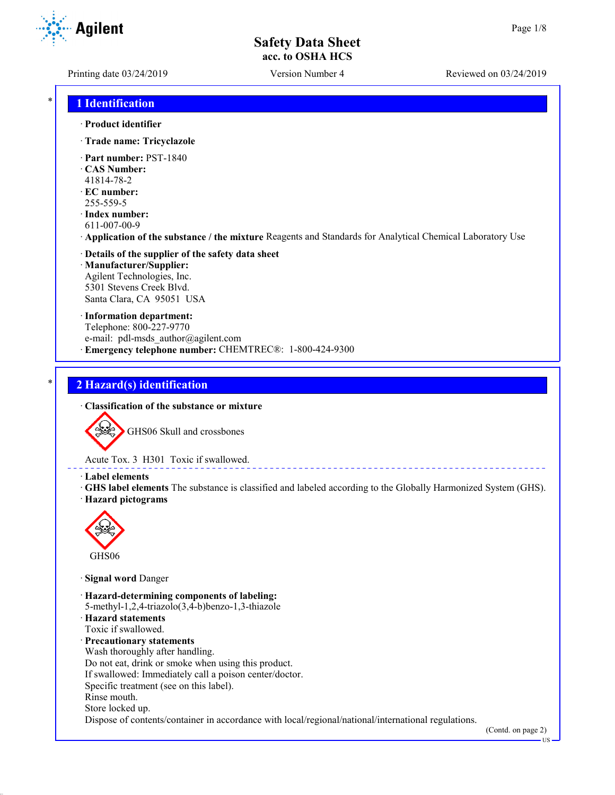**Agilent** 

Printing date 03/24/2019 Version Number 4 Reviewed on 03/24/2019

### \* **1 Identification**

- · **Product identifier**
- · **Trade name: Tricyclazole**
- · **Part number:** PST-1840
- · **CAS Number:**
- 41814-78-2
- · **EC number:**
- 255-559-5
- · **Index number:** 611-007-00-9
- · **Application of the substance / the mixture** Reagents and Standards for Analytical Chemical Laboratory Use
- · **Details of the supplier of the safety data sheet** · **Manufacturer/Supplier:** Agilent Technologies, Inc. 5301 Stevens Creek Blvd. Santa Clara, CA 95051 USA
- · **Information department:** Telephone: 800-227-9770 e-mail: pdl-msds\_author@agilent.com · **Emergency telephone number:** CHEMTREC®: 1-800-424-9300

# \* **2 Hazard(s) identification**

· **Classification of the substance or mixture**



Acute Tox. 3 H301 Toxic if swallowed.

· **Label elements**

· **GHS label elements** The substance is classified and labeled according to the Globally Harmonized System (GHS). · **Hazard pictograms**



· **Signal word** Danger

· **Hazard-determining components of labeling:** 5-methyl-1,2,4-triazolo(3,4-b)benzo-1,3-thiazole · **Hazard statements** Toxic if swallowed. · **Precautionary statements** Wash thoroughly after handling. Do not eat, drink or smoke when using this product. If swallowed: Immediately call a poison center/doctor. Specific treatment (see on this label). Rinse mouth. Store locked up. Dispose of contents/container in accordance with local/regional/national/international regulations.

(Contd. on page 2)

US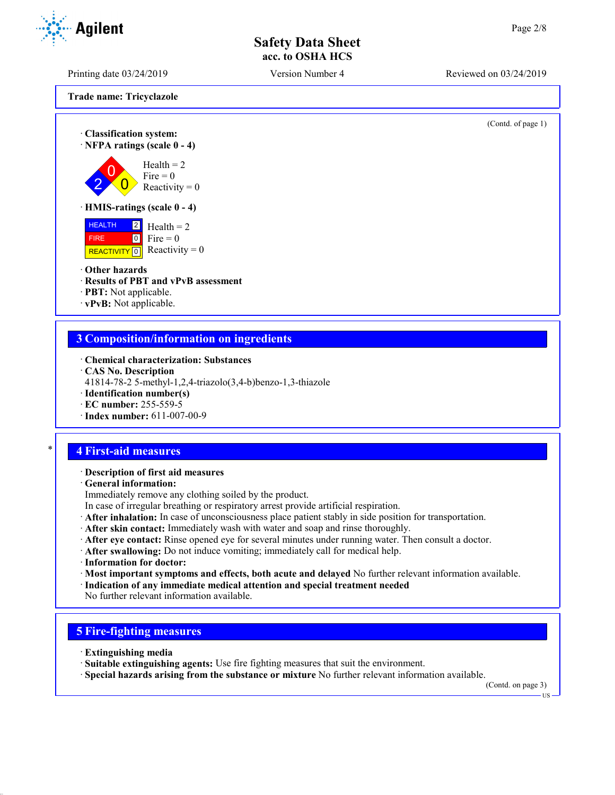Printing date 03/24/2019 Version Number 4 Reviewed on 03/24/2019

**Trade name: Tricyclazole**

(Contd. of page 1)

· **Classification system:** · **NFPA ratings (scale 0 - 4)** 2  $\overline{0}$  $\overline{0}$  $Health = 2$ Fire  $= 0$ Reactivity  $= 0$ · **HMIS-ratings (scale 0 - 4)**



#### · **Other hazards**

- · **Results of PBT and vPvB assessment**
- · **PBT:** Not applicable.
- · **vPvB:** Not applicable.

### **3 Composition/information on ingredients**

- · **Chemical characterization: Substances**
- · **CAS No. Description**
- 41814-78-2 5-methyl-1,2,4-triazolo(3,4-b)benzo-1,3-thiazole
- · **Identification number(s)**
- · **EC number:** 255-559-5
- · **Index number:** 611-007-00-9

### \* **4 First-aid measures**

#### · **Description of first aid measures**

· **General information:**

Immediately remove any clothing soiled by the product.

- In case of irregular breathing or respiratory arrest provide artificial respiration.
- · **After inhalation:** In case of unconsciousness place patient stably in side position for transportation.
- · **After skin contact:** Immediately wash with water and soap and rinse thoroughly.
- · **After eye contact:** Rinse opened eye for several minutes under running water. Then consult a doctor.
- · **After swallowing:** Do not induce vomiting; immediately call for medical help.
- · **Information for doctor:**
- · **Most important symptoms and effects, both acute and delayed** No further relevant information available.
- · **Indication of any immediate medical attention and special treatment needed**
- No further relevant information available.

### **5 Fire-fighting measures**

- · **Extinguishing media**
- · **Suitable extinguishing agents:** Use fire fighting measures that suit the environment.
- · **Special hazards arising from the substance or mixture** No further relevant information available.

(Contd. on page 3)

US

**Agilent**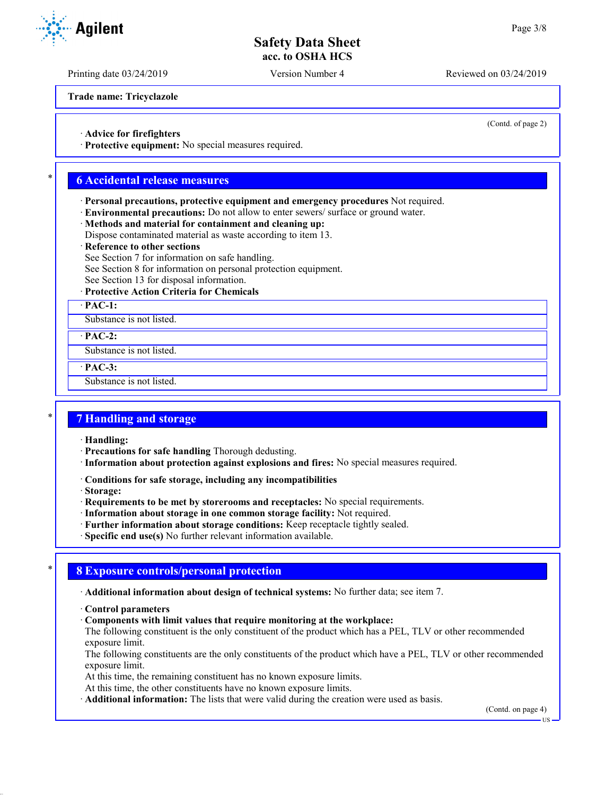Printing date 03/24/2019 Version Number 4 Reviewed on 03/24/2019

**Trade name: Tricyclazole**

(Contd. of page 2)

· **Advice for firefighters**

· **Protective equipment:** No special measures required.

### \* **6 Accidental release measures**

- · **Personal precautions, protective equipment and emergency procedures** Not required.
- · **Environmental precautions:** Do not allow to enter sewers/ surface or ground water.
- · **Methods and material for containment and cleaning up:**
- Dispose contaminated material as waste according to item 13.

#### **Reference to other sections**

- See Section 7 for information on safe handling.
- See Section 8 for information on personal protection equipment.
- See Section 13 for disposal information.

#### · **Protective Action Criteria for Chemicals**

· **PAC-1:**

Substance is not listed.

· **PAC-2:**

Substance is not listed.

· **PAC-3:**

Substance is not listed.

#### \* **7 Handling and storage**

· **Handling:**

- · **Precautions for safe handling** Thorough dedusting.
- · **Information about protection against explosions and fires:** No special measures required.
- · **Conditions for safe storage, including any incompatibilities**
- · **Storage:**
- · **Requirements to be met by storerooms and receptacles:** No special requirements.
- · **Information about storage in one common storage facility:** Not required.
- · **Further information about storage conditions:** Keep receptacle tightly sealed.
- · **Specific end use(s)** No further relevant information available.

### \* **8 Exposure controls/personal protection**

· **Additional information about design of technical systems:** No further data; see item 7.

- · **Control parameters**
- · **Components with limit values that require monitoring at the workplace:**

The following constituent is the only constituent of the product which has a PEL, TLV or other recommended exposure limit.

The following constituents are the only constituents of the product which have a PEL, TLV or other recommended exposure limit.

At this time, the remaining constituent has no known exposure limits.

At this time, the other constituents have no known exposure limits.

· **Additional information:** The lists that were valid during the creation were used as basis.

(Contd. on page 4)

**TIS** 

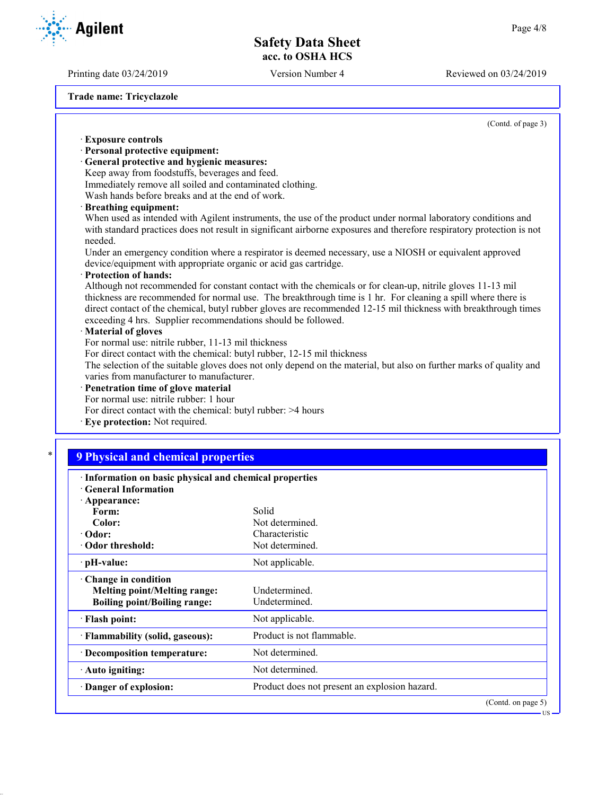Printing date 03/24/2019 Version Number 4 Reviewed on 03/24/2019

**Agilent** 

**Trade name: Tricyclazole**

(Contd. of page 3)

| <b>Exposure controls</b><br>· Personal protective equipment:                                            |                                                                                                                                                                                                                                 |  |
|---------------------------------------------------------------------------------------------------------|---------------------------------------------------------------------------------------------------------------------------------------------------------------------------------------------------------------------------------|--|
|                                                                                                         |                                                                                                                                                                                                                                 |  |
| · General protective and hygienic measures:                                                             |                                                                                                                                                                                                                                 |  |
| Keep away from foodstuffs, beverages and feed.                                                          |                                                                                                                                                                                                                                 |  |
| Immediately remove all soiled and contaminated clothing.                                                |                                                                                                                                                                                                                                 |  |
| Wash hands before breaks and at the end of work.                                                        |                                                                                                                                                                                                                                 |  |
| · Breathing equipment:                                                                                  |                                                                                                                                                                                                                                 |  |
|                                                                                                         | When used as intended with Agilent instruments, the use of the product under normal laboratory conditions and                                                                                                                   |  |
| needed.                                                                                                 | with standard practices does not result in significant airborne exposures and therefore respiratory protection is not                                                                                                           |  |
| Under an emergency condition where a respirator is deemed necessary, use a NIOSH or equivalent approved |                                                                                                                                                                                                                                 |  |
| device/equipment with appropriate organic or acid gas cartridge.                                        |                                                                                                                                                                                                                                 |  |
| · Protection of hands:                                                                                  |                                                                                                                                                                                                                                 |  |
|                                                                                                         | Although not recommended for constant contact with the chemicals or for clean-up, nitrile gloves 11-13 mil                                                                                                                      |  |
|                                                                                                         | thickness are recommended for normal use. The breakthrough time is 1 hr. For cleaning a spill where there is<br>direct contact of the chemical, butyl rubber gloves are recommended 12-15 mil thickness with breakthrough times |  |
| exceeding 4 hrs. Supplier recommendations should be followed.                                           |                                                                                                                                                                                                                                 |  |
| · Material of gloves                                                                                    |                                                                                                                                                                                                                                 |  |
| For normal use: nitrile rubber, 11-13 mil thickness                                                     |                                                                                                                                                                                                                                 |  |
| For direct contact with the chemical: butyl rubber, 12-15 mil thickness                                 |                                                                                                                                                                                                                                 |  |
|                                                                                                         | The selection of the suitable gloves does not only depend on the material, but also on further marks of quality and                                                                                                             |  |
| varies from manufacturer to manufacturer.                                                               |                                                                                                                                                                                                                                 |  |
| · Penetration time of glove material                                                                    |                                                                                                                                                                                                                                 |  |
| For normal use: nitrile rubber: 1 hour                                                                  |                                                                                                                                                                                                                                 |  |
| For direct contact with the chemical: butyl rubber: >4 hours                                            |                                                                                                                                                                                                                                 |  |
| · Eye protection: Not required.                                                                         |                                                                                                                                                                                                                                 |  |
|                                                                                                         |                                                                                                                                                                                                                                 |  |
| <b>9 Physical and chemical properties</b>                                                               |                                                                                                                                                                                                                                 |  |
| · Information on basic physical and chemical properties                                                 |                                                                                                                                                                                                                                 |  |
| · General Information                                                                                   |                                                                                                                                                                                                                                 |  |
| · Appearance:                                                                                           |                                                                                                                                                                                                                                 |  |
| Form:                                                                                                   | Solid                                                                                                                                                                                                                           |  |
|                                                                                                         |                                                                                                                                                                                                                                 |  |
| Color:                                                                                                  | Not determined.                                                                                                                                                                                                                 |  |
| $\cdot$ Odor:                                                                                           | Characteristic                                                                                                                                                                                                                  |  |
| · Odor threshold:                                                                                       | Not determined.                                                                                                                                                                                                                 |  |
| · pH-value:                                                                                             | Not applicable.                                                                                                                                                                                                                 |  |
| $\cdot$ Change in condition                                                                             |                                                                                                                                                                                                                                 |  |
| <b>Melting point/Melting range:</b>                                                                     | Undetermined.                                                                                                                                                                                                                   |  |
| <b>Boiling point/Boiling range:</b>                                                                     | Undetermined.                                                                                                                                                                                                                   |  |
| · Flash point:                                                                                          | Not applicable.                                                                                                                                                                                                                 |  |
| · Flammability (solid, gaseous):                                                                        | Product is not flammable.                                                                                                                                                                                                       |  |
| · Decomposition temperature:                                                                            | Not determined.                                                                                                                                                                                                                 |  |

(Contd. on page 5)

US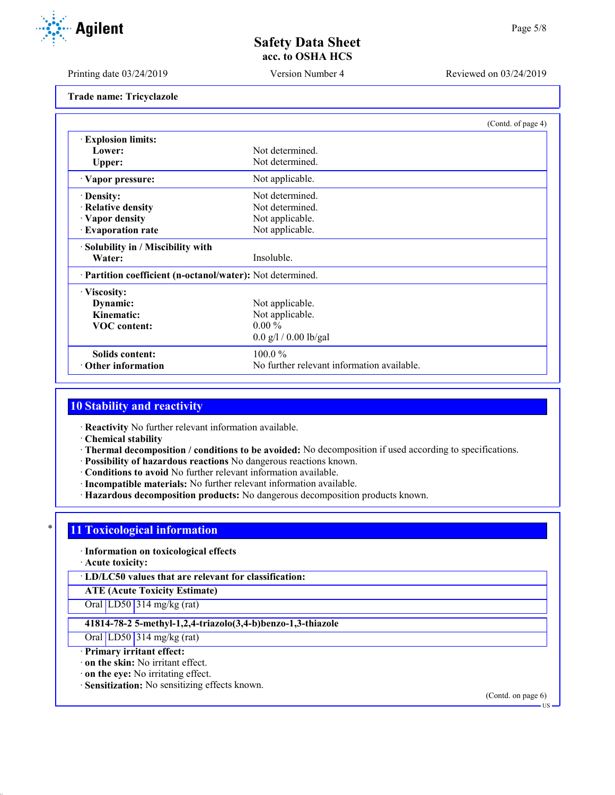**Agilent** 

Printing date 03/24/2019 Version Number 4 Reviewed on 03/24/2019

**Trade name: Tricyclazole**

|                                                            | (Contd. of page 4)                         |  |
|------------------------------------------------------------|--------------------------------------------|--|
| <b>Explosion limits:</b>                                   |                                            |  |
| Lower:                                                     | Not determined.                            |  |
| Upper:                                                     | Not determined.                            |  |
| · Vapor pressure:                                          | Not applicable.                            |  |
| · Density:                                                 | Not determined.                            |  |
| · Relative density                                         | Not determined.                            |  |
| · Vapor density                                            | Not applicable.                            |  |
| · Evaporation rate                                         | Not applicable.                            |  |
| · Solubility in / Miscibility with                         |                                            |  |
| Water:                                                     | Insoluble.                                 |  |
| · Partition coefficient (n-octanol/water): Not determined. |                                            |  |
| $\cdot$ Viscosity:                                         |                                            |  |
| Dynamic:                                                   | Not applicable.                            |  |
| Kinematic:                                                 | Not applicable.                            |  |
| <b>VOC</b> content:                                        | $0.00 \%$                                  |  |
|                                                            | $0.0$ g/l / 0.00 lb/gal                    |  |
| <b>Solids content:</b>                                     | $100.0\%$                                  |  |
| $\cdot$ Other information                                  | No further relevant information available. |  |

# **10 Stability and reactivity**

· **Reactivity** No further relevant information available.

· **Chemical stability**

- · **Thermal decomposition / conditions to be avoided:** No decomposition if used according to specifications.
- · **Possibility of hazardous reactions** No dangerous reactions known.
- · **Conditions to avoid** No further relevant information available.
- · **Incompatible materials:** No further relevant information available.
- · **Hazardous decomposition products:** No dangerous decomposition products known.

### **11 Toxicological information**

· **Information on toxicological effects**

· **Acute toxicity:**

· **LD/LC50 values that are relevant for classification:**

**ATE (Acute Toxicity Estimate)**

Oral LD50 314 mg/kg (rat)

#### **41814-78-2 5-methyl-1,2,4-triazolo(3,4-b)benzo-1,3-thiazole**

Oral LD50 314 mg/kg (rat)

· **Primary irritant effect:**

· **on the skin:** No irritant effect.

· **on the eye:** No irritating effect.

· **Sensitization:** No sensitizing effects known.

(Contd. on page 6)

US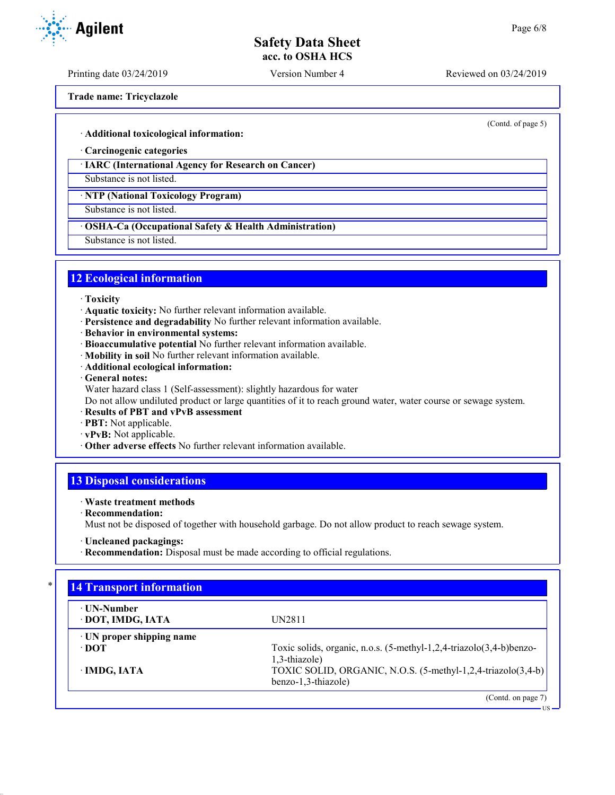Printing date 03/24/2019 Version Number 4 Reviewed on 03/24/2019

**Trade name: Tricyclazole**

(Contd. of page 5)

#### · **Additional toxicological information:**

· **Carcinogenic categories**

#### · **IARC (International Agency for Research on Cancer)**

Substance is not listed.

· **NTP (National Toxicology Program)**

Substance is not listed.

#### · **OSHA-Ca (Occupational Safety & Health Administration)**

Substance is not listed.

#### **12 Ecological information**

- · **Toxicity**
- · **Aquatic toxicity:** No further relevant information available.
- · **Persistence and degradability** No further relevant information available.
- · **Behavior in environmental systems:**
- · **Bioaccumulative potential** No further relevant information available.
- · **Mobility in soil** No further relevant information available.
- · **Additional ecological information:**
- · **General notes:**
- Water hazard class 1 (Self-assessment): slightly hazardous for water

Do not allow undiluted product or large quantities of it to reach ground water, water course or sewage system.

- · **Results of PBT and vPvB assessment**
- · **PBT:** Not applicable.
- · **vPvB:** Not applicable.
- · **Other adverse effects** No further relevant information available.

## **13 Disposal considerations**

#### · **Waste treatment methods**

· **Recommendation:**

Must not be disposed of together with household garbage. Do not allow product to reach sewage system.

· **Recommendation:** Disposal must be made according to official regulations.

| ⋅ UN-Number<br>· DOT, IMDG, IATA | UN2811                                                              |
|----------------------------------|---------------------------------------------------------------------|
| · UN proper shipping name        |                                                                     |
| ∙ DOT                            | Toxic solids, organic, n.o.s. (5-methyl-1,2,4-triazolo(3,4-b)benzo- |
|                                  | 1,3-thiazole)                                                       |
| · IMDG, IATA                     | TOXIC SOLID, ORGANIC, N.O.S. (5-methyl-1,2,4-triazolo(3,4-b)        |
|                                  | benzo-1,3-thiazole)                                                 |





<sup>·</sup> **Uncleaned packagings:**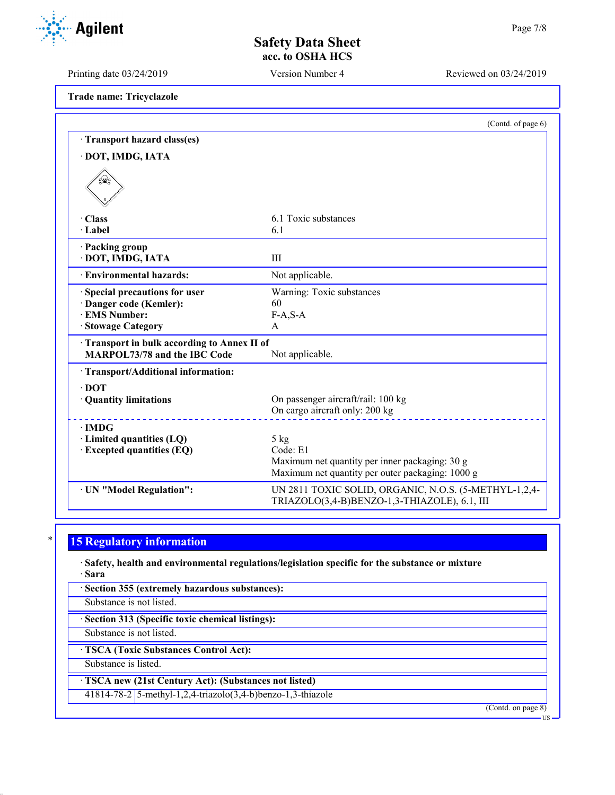Printing date 03/24/2019 Version Number 4 Reviewed on 03/24/2019

**Trade name: Tricyclazole**

|                                                                                                       | (Contd. of page 6)                                                                                             |
|-------------------------------------------------------------------------------------------------------|----------------------------------------------------------------------------------------------------------------|
| Transport hazard class(es)                                                                            |                                                                                                                |
| · DOT, IMDG, IATA                                                                                     |                                                                                                                |
| طريک <u>ہ</u>                                                                                         |                                                                                                                |
| · Class                                                                                               | 6.1 Toxic substances                                                                                           |
| · Label                                                                                               | 6.1                                                                                                            |
| · Packing group<br>· DOT, IMDG, IATA                                                                  | III                                                                                                            |
| · Environmental hazards:                                                                              | Not applicable.                                                                                                |
| · Special precautions for user<br>· Danger code (Kemler):<br>· EMS Number:<br><b>Stowage Category</b> | Warning: Toxic substances<br>60<br>$F-A, S-A$<br>A                                                             |
| Transport in bulk according to Annex II of<br>MARPOL73/78 and the IBC Code                            | Not applicable.                                                                                                |
| · Transport/Additional information:                                                                   |                                                                                                                |
| $\cdot$ DOT<br>· Quantity limitations                                                                 | On passenger aircraft/rail: 100 kg<br>On cargo aircraft only: 200 kg                                           |
| $\cdot$ IMDG<br>$\cdot$ Limited quantities (LQ)                                                       | $5$ kg                                                                                                         |
| <b>Excepted quantities (EQ)</b>                                                                       | Code: E1<br>Maximum net quantity per inner packaging: 30 g<br>Maximum net quantity per outer packaging: 1000 g |
| · UN "Model Regulation":                                                                              | UN 2811 TOXIC SOLID, ORGANIC, N.O.S. (5-METHYL-1,2,4-<br>TRIAZOLO(3,4-B)BENZO-1,3-THIAZOLE), 6.1, III          |

# **15 Regulatory information**

· **Safety, health and environmental regulations/legislation specific for the substance or mixture** · **Sara**

· **Section 355 (extremely hazardous substances):**

Substance is not listed.

· **Section 313 (Specific toxic chemical listings):**

Substance is not listed.

· **TSCA (Toxic Substances Control Act):**

Substance is listed.

· **TSCA new (21st Century Act): (Substances not listed)**

41814-78-2 5-methyl-1,2,4-triazolo(3,4-b)benzo-1,3-thiazole

(Contd. on page 8)

US

Agilent